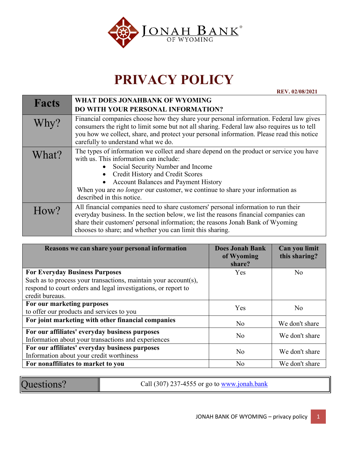

## **PRIVACY POLICY**

**REV. 02/08/2021**

| <b>Facts</b> | WHAT DOES JONAHBANK OF WYOMING                                                                                                                                                                                                                                                                                                                                                 |  |
|--------------|--------------------------------------------------------------------------------------------------------------------------------------------------------------------------------------------------------------------------------------------------------------------------------------------------------------------------------------------------------------------------------|--|
|              | <b>DO WITH YOUR PERSONAL INFORMATION?</b>                                                                                                                                                                                                                                                                                                                                      |  |
| Why?         | Financial companies choose how they share your personal information. Federal law gives<br>consumers the right to limit some but not all sharing. Federal law also requires us to tell<br>you how we collect, share, and protect your personal information. Please read this notice<br>carefully to understand what we do.                                                      |  |
| What?        | The types of information we collect and share depend on the product or service you have<br>with us. This information can include:<br>Social Security Number and Income<br>Credit History and Credit Scores<br><b>Account Balances and Payment History</b><br>When you are <i>no longer</i> our customer, we continue to share your information as<br>described in this notice. |  |
| How?         | All financial companies need to share customers' personal information to run their<br>everyday business. In the section below, we list the reasons financial companies can<br>share their customers' personal information; the reasons Jonah Bank of Wyoming<br>chooses to share; and whether you can limit this sharing.                                                      |  |

| Reasons we can share your personal information                  | <b>Does Jonah Bank</b><br>of Wyoming<br>share? | Can you limit<br>this sharing? |
|-----------------------------------------------------------------|------------------------------------------------|--------------------------------|
| <b>For Everyday Business Purposes</b>                           | Yes                                            | No                             |
| Such as to process your transactions, maintain your account(s), |                                                |                                |
| respond to court orders and legal investigations, or report to  |                                                |                                |
| credit bureaus.                                                 |                                                |                                |
| For our marketing purposes                                      | Yes                                            | No                             |
| to offer our products and services to you                       |                                                |                                |
| For joint marketing with other financial companies              | N <sub>o</sub>                                 | We don't share                 |
| For our affiliates' everyday business purposes                  | N <sub>o</sub>                                 | We don't share                 |
| Information about your transactions and experiences             |                                                |                                |
| For our affiliates' everyday business purposes                  | No                                             | We don't share                 |
| Information about your credit worthiness                        |                                                |                                |
| For nonaffiliates to market to you                              | No                                             | We don't share                 |

| Questions? |  |
|------------|--|

Call (307) 237-4555 or go to  $\frac{www.jonah.bank}{m}$  $\frac{www.jonah.bank}{m}$  $\frac{www.jonah.bank}{m}$